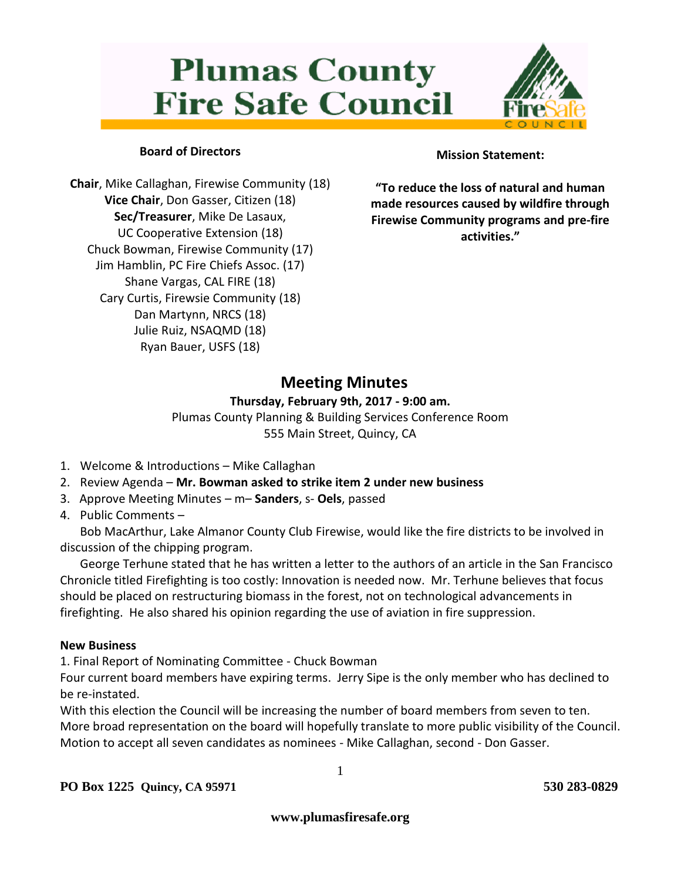# **Plumas County Fire Safe Council**



### **Board of Directors**

**Chair**, Mike Callaghan, Firewise Community (18) **Vice Chair**, Don Gasser, Citizen (18) **Sec/Treasurer**, Mike De Lasaux, UC Cooperative Extension (18) Chuck Bowman, Firewise Community (17) Jim Hamblin, PC Fire Chiefs Assoc. (17) Shane Vargas, CAL FIRE (18) Cary Curtis, Firewsie Community (18) Dan Martynn, NRCS (18) Julie Ruiz, NSAQMD (18) Ryan Bauer, USFS (18)

#### **Mission Statement:**

**"To reduce the loss of natural and human made resources caused by wildfire through Firewise Community programs and pre-fire activities."**

## **Meeting Minutes**

#### **Thursday, February 9th, 2017 - 9:00 am.**

Plumas County Planning & Building Services Conference Room 555 Main Street, Quincy, CA

- 1. Welcome & Introductions Mike Callaghan
- 2. Review Agenda **Mr. Bowman asked to strike item 2 under new business**
- 3. Approve Meeting Minutes m– **Sanders**, s- **Oels**, passed
- 4. Public Comments –

Bob MacArthur, Lake Almanor County Club Firewise, would like the fire districts to be involved in discussion of the chipping program.

George Terhune stated that he has written a letter to the authors of an article in the San Francisco Chronicle titled Firefighting is too costly: Innovation is needed now. Mr. Terhune believes that focus should be placed on restructuring biomass in the forest, not on technological advancements in firefighting. He also shared his opinion regarding the use of aviation in fire suppression.

#### **New Business**

1. Final Report of Nominating Committee - Chuck Bowman

Four current board members have expiring terms. Jerry Sipe is the only member who has declined to be re-instated.

With this election the Council will be increasing the number of board members from seven to ten. More broad representation on the board will hopefully translate to more public visibility of the Council. Motion to accept all seven candidates as nominees - Mike Callaghan, second - Don Gasser.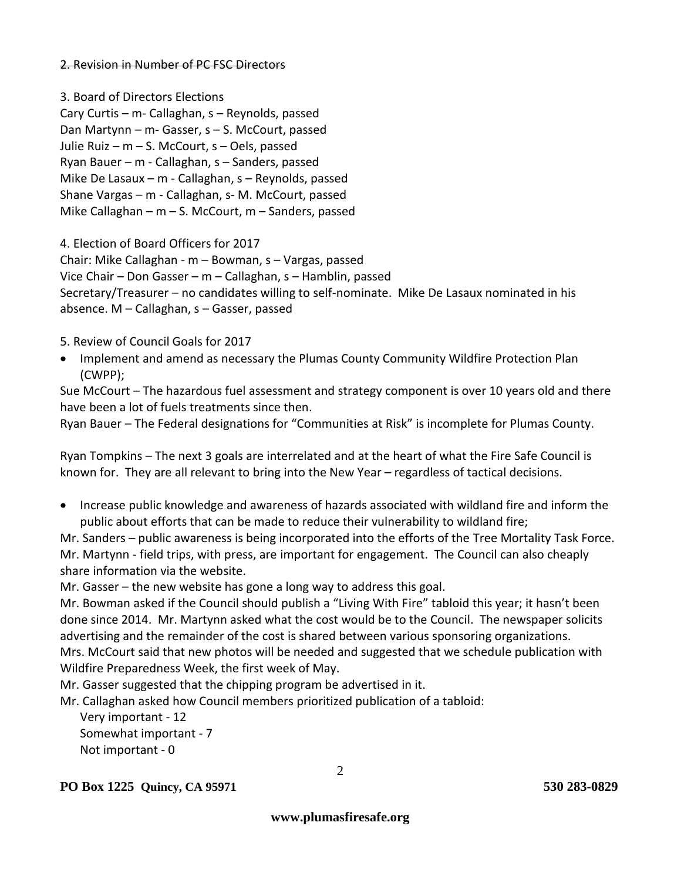#### 2. Revision in Number of PC FSC Directors

3. Board of Directors Elections Cary Curtis – m- Callaghan, s – Reynolds, passed Dan Martynn – m- Gasser, s – S. McCourt, passed Julie Ruiz – m – S. McCourt, s – Oels, passed Ryan Bauer – m - Callaghan, s – Sanders, passed Mike De Lasaux – m - Callaghan, s – Reynolds, passed Shane Vargas – m - Callaghan, s- M. McCourt, passed Mike Callaghan – m – S. McCourt, m – Sanders, passed

4. Election of Board Officers for 2017

Chair: Mike Callaghan - m – Bowman, s – Vargas, passed

Vice Chair – Don Gasser – m – Callaghan, s – Hamblin, passed

Secretary/Treasurer – no candidates willing to self-nominate. Mike De Lasaux nominated in his absence. M – Callaghan, s – Gasser, passed

5. Review of Council Goals for 2017

• Implement and amend as necessary the Plumas County Community Wildfire Protection Plan (CWPP);

Sue McCourt – The hazardous fuel assessment and strategy component is over 10 years old and there have been a lot of fuels treatments since then.

Ryan Bauer – The Federal designations for "Communities at Risk" is incomplete for Plumas County.

Ryan Tompkins – The next 3 goals are interrelated and at the heart of what the Fire Safe Council is known for. They are all relevant to bring into the New Year – regardless of tactical decisions.

 Increase public knowledge and awareness of hazards associated with wildland fire and inform the public about efforts that can be made to reduce their vulnerability to wildland fire;

Mr. Sanders – public awareness is being incorporated into the efforts of the Tree Mortality Task Force. Mr. Martynn - field trips, with press, are important for engagement. The Council can also cheaply share information via the website.

Mr. Gasser – the new website has gone a long way to address this goal.

Mr. Bowman asked if the Council should publish a "Living With Fire" tabloid this year; it hasn't been done since 2014. Mr. Martynn asked what the cost would be to the Council. The newspaper solicits advertising and the remainder of the cost is shared between various sponsoring organizations. Mrs. McCourt said that new photos will be needed and suggested that we schedule publication with Wildfire Preparedness Week, the first week of May.

Mr. Gasser suggested that the chipping program be advertised in it.

Mr. Callaghan asked how Council members prioritized publication of a tabloid:

Very important - 12 Somewhat important - 7 Not important - 0

**PO Box 1225 Quincy, CA 95971 530 283-0829** 

**www.plumasfiresafe.org**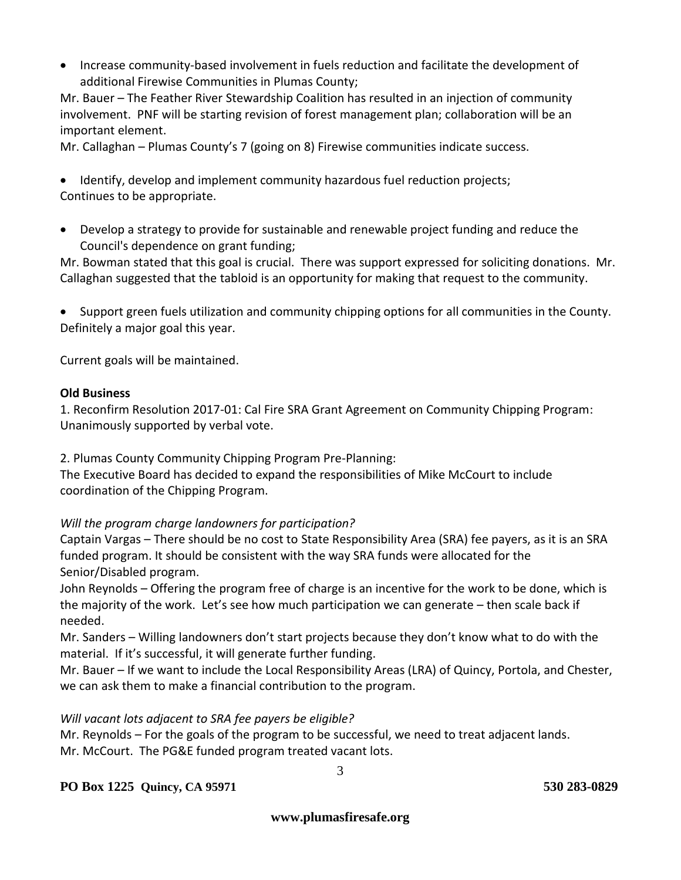Increase community-based involvement in fuels reduction and facilitate the development of additional Firewise Communities in Plumas County;

Mr. Bauer – The Feather River Stewardship Coalition has resulted in an injection of community involvement. PNF will be starting revision of forest management plan; collaboration will be an important element.

Mr. Callaghan – Plumas County's 7 (going on 8) Firewise communities indicate success.

 Identify, develop and implement community hazardous fuel reduction projects; Continues to be appropriate.

 Develop a strategy to provide for sustainable and renewable project funding and reduce the Council's dependence on grant funding;

Mr. Bowman stated that this goal is crucial. There was support expressed for soliciting donations. Mr. Callaghan suggested that the tabloid is an opportunity for making that request to the community.

 Support green fuels utilization and community chipping options for all communities in the County. Definitely a major goal this year.

Current goals will be maintained.

#### **Old Business**

1. Reconfirm Resolution 2017-01: Cal Fire SRA Grant Agreement on Community Chipping Program: Unanimously supported by verbal vote.

2. Plumas County Community Chipping Program Pre-Planning:

The Executive Board has decided to expand the responsibilities of Mike McCourt to include coordination of the Chipping Program.

#### *Will the program charge landowners for participation?*

Captain Vargas – There should be no cost to State Responsibility Area (SRA) fee payers, as it is an SRA funded program. It should be consistent with the way SRA funds were allocated for the Senior/Disabled program.

John Reynolds – Offering the program free of charge is an incentive for the work to be done, which is the majority of the work. Let's see how much participation we can generate – then scale back if needed.

Mr. Sanders – Willing landowners don't start projects because they don't know what to do with the material. If it's successful, it will generate further funding.

Mr. Bauer – If we want to include the Local Responsibility Areas (LRA) of Quincy, Portola, and Chester, we can ask them to make a financial contribution to the program.

#### *Will vacant lots adjacent to SRA fee payers be eligible?*

Mr. Reynolds – For the goals of the program to be successful, we need to treat adjacent lands. Mr. McCourt. The PG&E funded program treated vacant lots.

#### **PO Box 1225 Quincy, CA 95971 530 283-0829**

3

**www.plumasfiresafe.org**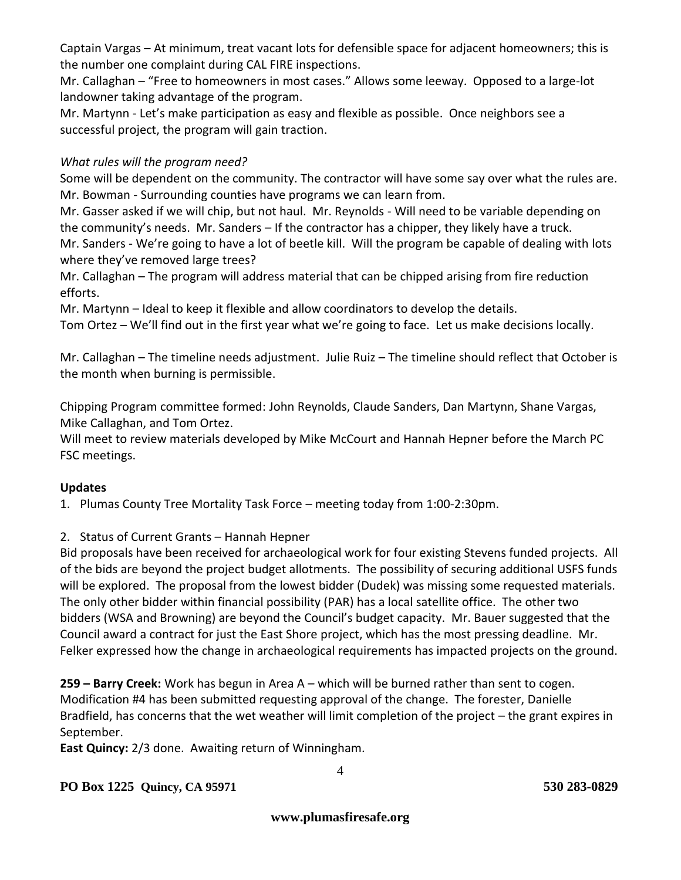Captain Vargas – At minimum, treat vacant lots for defensible space for adjacent homeowners; this is the number one complaint during CAL FIRE inspections.

Mr. Callaghan – "Free to homeowners in most cases." Allows some leeway. Opposed to a large-lot landowner taking advantage of the program.

Mr. Martynn - Let's make participation as easy and flexible as possible. Once neighbors see a successful project, the program will gain traction.

### *What rules will the program need?*

Some will be dependent on the community. The contractor will have some say over what the rules are. Mr. Bowman - Surrounding counties have programs we can learn from.

Mr. Gasser asked if we will chip, but not haul. Mr. Reynolds - Will need to be variable depending on the community's needs. Mr. Sanders – If the contractor has a chipper, they likely have a truck.

Mr. Sanders - We're going to have a lot of beetle kill. Will the program be capable of dealing with lots where they've removed large trees?

Mr. Callaghan – The program will address material that can be chipped arising from fire reduction efforts.

Mr. Martynn – Ideal to keep it flexible and allow coordinators to develop the details.

Tom Ortez – We'll find out in the first year what we're going to face. Let us make decisions locally.

Mr. Callaghan – The timeline needs adjustment. Julie Ruiz – The timeline should reflect that October is the month when burning is permissible.

Chipping Program committee formed: John Reynolds, Claude Sanders, Dan Martynn, Shane Vargas, Mike Callaghan, and Tom Ortez.

Will meet to review materials developed by Mike McCourt and Hannah Hepner before the March PC FSC meetings.

#### **Updates**

1. Plumas County Tree Mortality Task Force – meeting today from 1:00-2:30pm.

2. Status of Current Grants – Hannah Hepner

Bid proposals have been received for archaeological work for four existing Stevens funded projects. All of the bids are beyond the project budget allotments. The possibility of securing additional USFS funds will be explored. The proposal from the lowest bidder (Dudek) was missing some requested materials. The only other bidder within financial possibility (PAR) has a local satellite office. The other two bidders (WSA and Browning) are beyond the Council's budget capacity. Mr. Bauer suggested that the Council award a contract for just the East Shore project, which has the most pressing deadline. Mr. Felker expressed how the change in archaeological requirements has impacted projects on the ground.

**259 – Barry Creek:** Work has begun in Area A – which will be burned rather than sent to cogen. Modification #4 has been submitted requesting approval of the change. The forester, Danielle Bradfield, has concerns that the wet weather will limit completion of the project – the grant expires in September.

**East Quincy:** 2/3 done. Awaiting return of Winningham.

**PO Box 1225 Quincy, CA 95971 530 283-0829**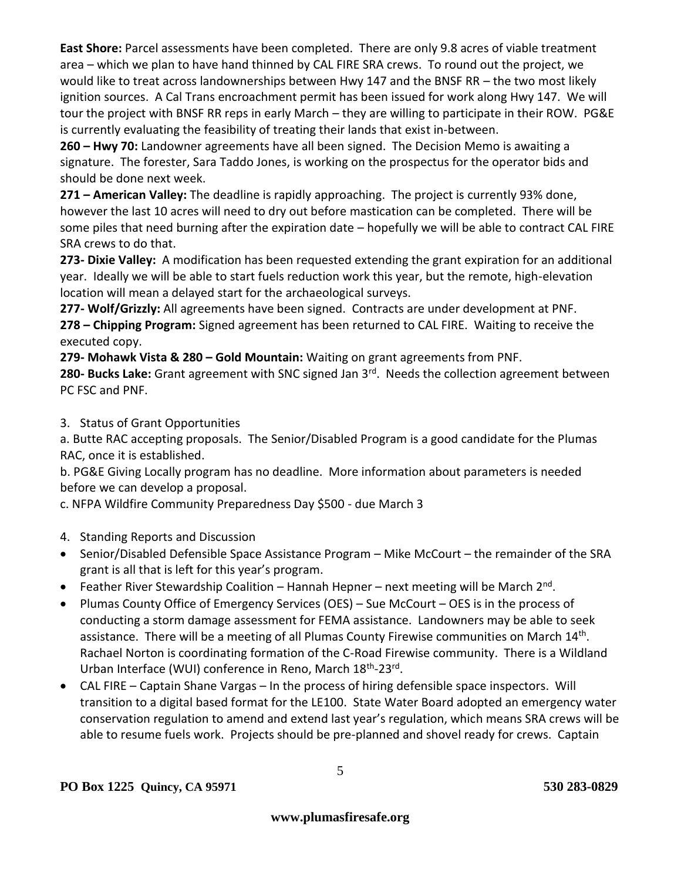**East Shore:** Parcel assessments have been completed. There are only 9.8 acres of viable treatment area – which we plan to have hand thinned by CAL FIRE SRA crews. To round out the project, we would like to treat across landownerships between Hwy 147 and the BNSF RR – the two most likely ignition sources. A Cal Trans encroachment permit has been issued for work along Hwy 147. We will tour the project with BNSF RR reps in early March – they are willing to participate in their ROW. PG&E is currently evaluating the feasibility of treating their lands that exist in-between.

**260 – Hwy 70:** Landowner agreements have all been signed. The Decision Memo is awaiting a signature. The forester, Sara Taddo Jones, is working on the prospectus for the operator bids and should be done next week.

**271 – American Valley:** The deadline is rapidly approaching. The project is currently 93% done, however the last 10 acres will need to dry out before mastication can be completed. There will be some piles that need burning after the expiration date – hopefully we will be able to contract CAL FIRE SRA crews to do that.

**273- Dixie Valley:** A modification has been requested extending the grant expiration for an additional year. Ideally we will be able to start fuels reduction work this year, but the remote, high-elevation location will mean a delayed start for the archaeological surveys.

**277- Wolf/Grizzly:** All agreements have been signed. Contracts are under development at PNF. **278 – Chipping Program:** Signed agreement has been returned to CAL FIRE. Waiting to receive the executed copy.

**279- Mohawk Vista & 280 – Gold Mountain:** Waiting on grant agreements from PNF.

280- Bucks Lake: Grant agreement with SNC signed Jan 3<sup>rd</sup>. Needs the collection agreement between PC FSC and PNF.

3. Status of Grant Opportunities

a. Butte RAC accepting proposals. The Senior/Disabled Program is a good candidate for the Plumas RAC, once it is established.

b. PG&E Giving Locally program has no deadline. More information about parameters is needed before we can develop a proposal.

c. NFPA Wildfire Community Preparedness Day \$500 - due March 3

- 4. Standing Reports and Discussion
- Senior/Disabled Defensible Space Assistance Program Mike McCourt the remainder of the SRA grant is all that is left for this year's program.
- **•** Feather River Stewardship Coalition Hannah Hepner next meeting will be March  $2^{nd}$ .
- Plumas County Office of Emergency Services (OES) Sue McCourt OES is in the process of conducting a storm damage assessment for FEMA assistance. Landowners may be able to seek assistance. There will be a meeting of all Plumas County Firewise communities on March 14<sup>th</sup>. Rachael Norton is coordinating formation of the C-Road Firewise community. There is a Wildland Urban Interface (WUI) conference in Reno, March 18<sup>th</sup>-23rd.
- CAL FIRE Captain Shane Vargas In the process of hiring defensible space inspectors. Will transition to a digital based format for the LE100. State Water Board adopted an emergency water conservation regulation to amend and extend last year's regulation, which means SRA crews will be able to resume fuels work. Projects should be pre-planned and shovel ready for crews. Captain

5